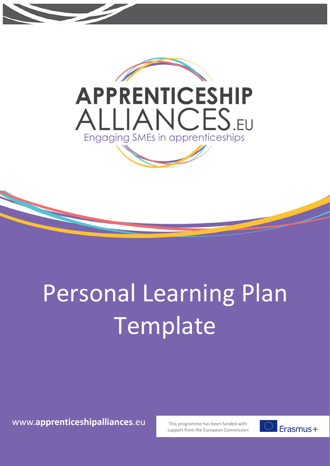

## Personal Learning Plan Template

www.**apprenticeshipalliances**.eu

This programme has been funded with support from the European Commission

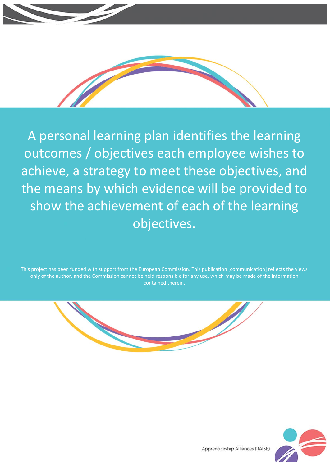

A personal learning plan identifies the learning outcomes / objectives each employee wishes to achieve, a strategy to meet these objectives, and the means by which evidence will be provided to show the achievement of each of the learning objectives.

This project has been funded with support from the European Commission. This publication [communication] reflects the views only of the author, and the Commission cannot be held responsible for any use, which may be made of the information contained therein.





Apprenticeship Alliances (RAISE)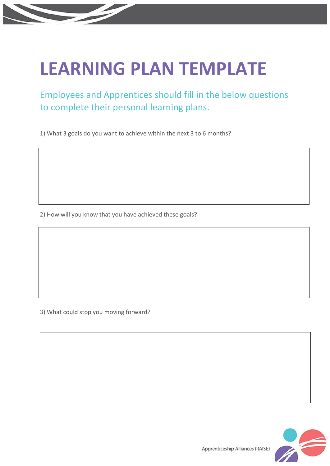## **LEARNING PLAN TEMPLATE**

Employees and Apprentices should fill in the below questions to complete their personal learning plans.

1) What 3 goals do you want to achieve within the next 3 to 6 months?

2) How will you know that you have achieved these goals?

3) What could stop you moving forward?



Apprenticeship Alliances (RAISE)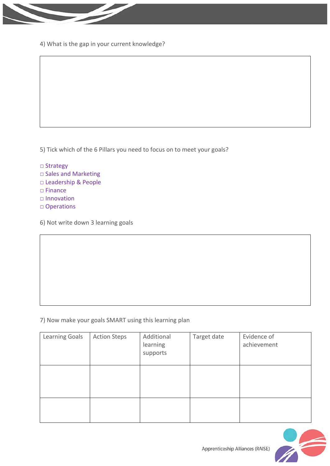

4) What is the gap in your current knowledge?

5) Tick which of the 6 Pillars you need to focus on to meet your goals?

- □ Strategy
- □ Sales and Marketing
- □ Leadership & People
- □ Finance
- □ Innovation
- □ Operations
- 6) Not write down 3 learning goals

## 7) Now make your goals SMART using this learning plan

| <b>Learning Goals</b> | <b>Action Steps</b> | Additional<br>learning<br>supports | Target date | Evidence of<br>achievement |
|-----------------------|---------------------|------------------------------------|-------------|----------------------------|
|                       |                     |                                    |             |                            |
|                       |                     |                                    |             |                            |